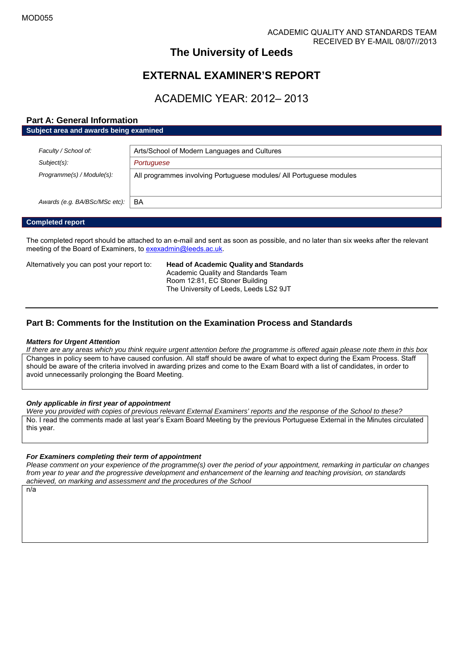# **The University of Leeds**

# **EXTERNAL EXAMINER'S REPORT**

# ACADEMIC YEAR: 2012– 2013

# **Part A: General Information**

| Subject area and awards being examined |                                                                     |
|----------------------------------------|---------------------------------------------------------------------|
|                                        |                                                                     |
| Faculty / School of:                   | Arts/School of Modern Languages and Cultures                        |
| Subject(s):                            | Portuguese                                                          |
| Programme(s) / Module(s):              | All programmes involving Portuguese modules/ All Portuguese modules |
|                                        |                                                                     |
|                                        |                                                                     |
| Awards (e.g. BA/BSc/MSc etc):          | <b>BA</b>                                                           |

# **Completed report**

The completed report should be attached to an e-mail and sent as soon as possible, and no later than six weeks after the relevant meeting of the Board of Examiners, to [exexadmin@leeds.ac.uk.](mailto:exexadmin@leeds.ac.uk)

Alternatively you can post your report to: **Head of Academic Quality and Standards**

Academic Quality and Standards Team Room 12:81, EC Stoner Building The University of Leeds, Leeds LS2 9JT

# **Part B: Comments for the Institution on the Examination Process and Standards**

#### *Matters for Urgent Attention*

*If there are any areas which you think require urgent attention before the programme is offered again please note them in this box* Changes in policy seem to have caused confusion. All staff should be aware of what to expect during the Exam Process. Staff should be aware of the criteria involved in awarding prizes and come to the Exam Board with a list of candidates, in order to avoid unnecessarily prolonging the Board Meeting.

# *Only applicable in first year of appointment*

*Were you provided with copies of previous relevant External Examiners' reports and the response of the School to these?* No. I read the comments made at last year's Exam Board Meeting by the previous Portuguese External in the Minutes circulated this year.

# *For Examiners completing their term of appointment*

*Please comment on your experience of the programme(s) over the period of your appointment, remarking in particular on changes from year to year and the progressive development and enhancement of the learning and teaching provision, on standards achieved, on marking and assessment and the procedures of the School*

n/a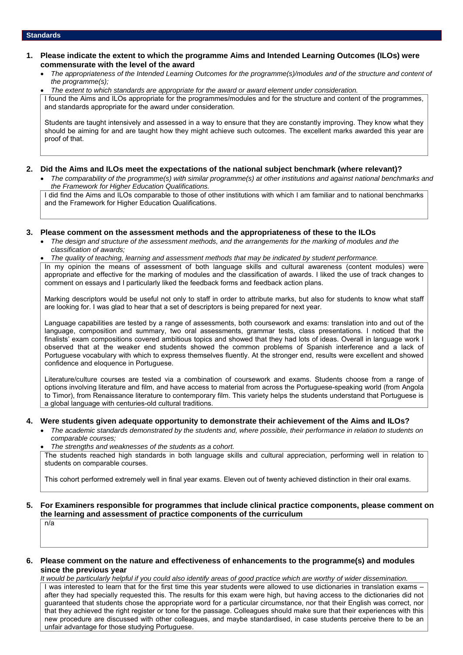# **1. Please indicate the extent to which the programme Aims and Intended Learning Outcomes (ILOs) were commensurate with the level of the award**

 *The appropriateness of the Intended Learning Outcomes for the programme(s)/modules and of the structure and content of the programme(s);*

*The extent to which standards are appropriate for the award or award element under consideration.*

I found the Aims and ILOs appropriate for the programmes/modules and for the structure and content of the programmes, and standards appropriate for the award under consideration.

Students are taught intensively and assessed in a way to ensure that they are constantly improving. They know what they should be aiming for and are taught how they might achieve such outcomes. The excellent marks awarded this year are proof of that.

# **2. Did the Aims and ILOs meet the expectations of the national subject benchmark (where relevant)?**

 *The comparability of the programme(s) with similar programme(s) at other institutions and against national benchmarks and the Framework for Higher Education Qualifications.*

I did find the Aims and ILOs comparable to those of other institutions with which I am familiar and to national benchmarks and the Framework for Higher Education Qualifications.

#### **3. Please comment on the assessment methods and the appropriateness of these to the ILOs**

 *The design and structure of the assessment methods, and the arrangements for the marking of modules and the classification of awards;*

*The quality of teaching, learning and assessment methods that may be indicated by student performance.*

In my opinion the means of assessment of both language skills and cultural awareness (content modules) were appropriate and effective for the marking of modules and the classification of awards. I liked the use of track changes to comment on essays and I particularly liked the feedback forms and feedback action plans.

Marking descriptors would be useful not only to staff in order to attribute marks, but also for students to know what staff are looking for. I was glad to hear that a set of descriptors is being prepared for next year.

Language capabilities are tested by a range of assessments, both coursework and exams: translation into and out of the language, composition and summary, two oral assessments, grammar tests, class presentations. I noticed that the finalists' exam compositions covered ambitious topics and showed that they had lots of ideas. Overall in language work I observed that at the weaker end students showed the common problems of Spanish interference and a lack of Portuguese vocabulary with which to express themselves fluently. At the stronger end, results were excellent and showed confidence and eloquence in Portuguese.

Literature/culture courses are tested via a combination of coursework and exams. Students choose from a range of options involving literature and film, and have access to material from across the Portuguese-speaking world (from Angola to Timor), from Renaissance literature to contemporary film. This variety helps the students understand that Portuguese is a global language with centuries-old cultural traditions.

# **4. Were students given adequate opportunity to demonstrate their achievement of the Aims and ILOs?**

- *The academic standards demonstrated by the students and, where possible, their performance in relation to students on comparable courses;*
	- *The strengths and weaknesses of the students as a cohort.*

The students reached high standards in both language skills and cultural appreciation, performing well in relation to students on comparable courses.

This cohort performed extremely well in final year exams. Eleven out of twenty achieved distinction in their oral exams.

# **5. For Examiners responsible for programmes that include clinical practice components, please comment on the learning and assessment of practice components of the curriculum**

n/a

# **6. Please comment on the nature and effectiveness of enhancements to the programme(s) and modules since the previous year**

*It would be particularly helpful if you could also identify areas of good practice which are worthy of wider dissemination.* I was interested to learn that for the first time this year students were allowed to use dictionaries in translation exams – after they had specially requested this. The results for this exam were high, but having access to the dictionaries did not guaranteed that students chose the appropriate word for a particular circumstance, nor that their English was correct, nor that they achieved the right register or tone for the passage. Colleagues should make sure that their experiences with this new procedure are discussed with other colleagues, and maybe standardised, in case students perceive there to be an unfair advantage for those studying Portuguese.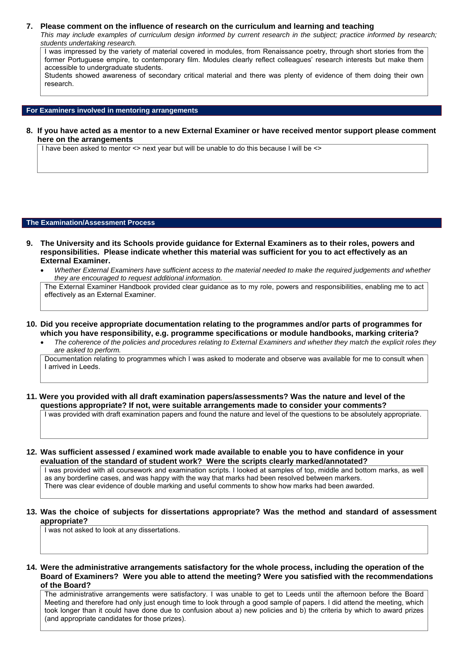#### **7. Please comment on the influence of research on the curriculum and learning and teaching**

*This may include examples of curriculum design informed by current research in the subject; practice informed by research; students undertaking research.*

I was impressed by the variety of material covered in modules, from Renaissance poetry, through short stories from the former Portuguese empire, to contemporary film. Modules clearly reflect colleagues' research interests but make them accessible to undergraduate students.

Students showed awareness of secondary critical material and there was plenty of evidence of them doing their own research.

### **For Examiners involved in mentoring arrangements**

**8. If you have acted as a mentor to a new External Examiner or have received mentor support please comment here on the arrangements**

I have been asked to mentor <> next year but will be unable to do this because I will be <>

#### **The Examination/Assessment Process**

- **9. The University and its Schools provide guidance for External Examiners as to their roles, powers and responsibilities. Please indicate whether this material was sufficient for you to act effectively as an External Examiner.**
	- *Whether External Examiners have sufficient access to the material needed to make the required judgements and whether they are encouraged to request additional information.*

The External Examiner Handbook provided clear guidance as to my role, powers and responsibilities, enabling me to act effectively as an External Examiner.

- **10. Did you receive appropriate documentation relating to the programmes and/or parts of programmes for which you have responsibility, e.g. programme specifications or module handbooks, marking criteria?**
	- *The coherence of the policies and procedures relating to External Examiners and whether they match the explicit roles they are asked to perform.*

Documentation relating to programmes which I was asked to moderate and observe was available for me to consult when I arrived in Leeds.

**11. Were you provided with all draft examination papers/assessments? Was the nature and level of the questions appropriate? If not, were suitable arrangements made to consider your comments?**

I was provided with draft examination papers and found the nature and level of the questions to be absolutely appropriate.

**12. Was sufficient assessed / examined work made available to enable you to have confidence in your evaluation of the standard of student work? Were the scripts clearly marked/annotated?**

I was provided with all coursework and examination scripts. I looked at samples of top, middle and bottom marks, as well as any borderline cases, and was happy with the way that marks had been resolved between markers. There was clear evidence of double marking and useful comments to show how marks had been awarded.

## **13. Was the choice of subjects for dissertations appropriate? Was the method and standard of assessment appropriate?**

I was not asked to look at any dissertations.

#### **14. Were the administrative arrangements satisfactory for the whole process, including the operation of the Board of Examiners? Were you able to attend the meeting? Were you satisfied with the recommendations of the Board?**

The administrative arrangements were satisfactory. I was unable to get to Leeds until the afternoon before the Board Meeting and therefore had only just enough time to look through a good sample of papers. I did attend the meeting, which took longer than it could have done due to confusion about a) new policies and b) the criteria by which to award prizes (and appropriate candidates for those prizes).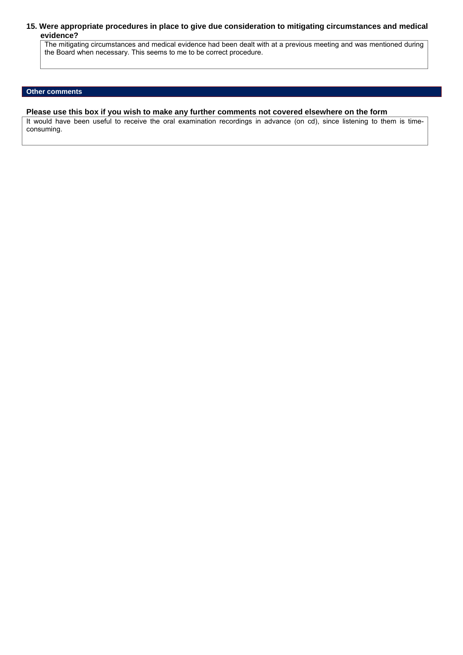# **15. Were appropriate procedures in place to give due consideration to mitigating circumstances and medical evidence?**

The mitigating circumstances and medical evidence had been dealt with at a previous meeting and was mentioned during the Board when necessary. This seems to me to be correct procedure.

# **Other comments**

# **Please use this box if you wish to make any further comments not covered elsewhere on the form**

It would have been useful to receive the oral examination recordings in advance (on cd), since listening to them is timeconsuming.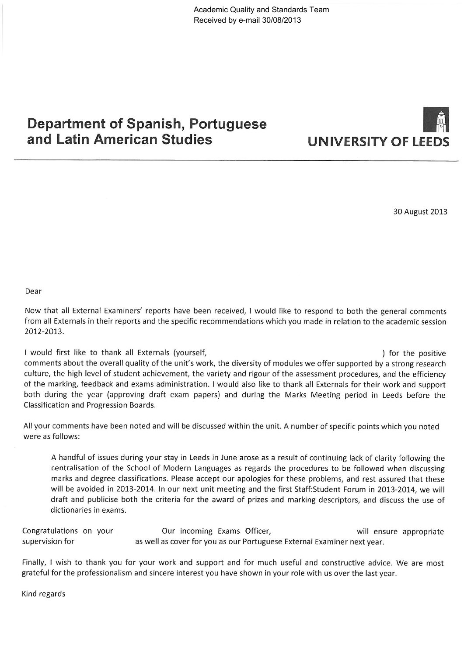# **Department of Spanish, Portuguese** and Latin American Studies



30 August 2013

Dear

Now that all External Examiners' reports have been received, I would like to respond to both the general comments from all Externals in their reports and the specific recommendations which you made in relation to the academic session 2012-2013.

I would first like to thank all Externals (yourself, ) for the positive comments about the overall quality of the unit's work, the diversity of modules we offer supported by a strong research culture, the high level of student achievement, the variety and rigour of the assessment procedures, and the efficiency of the marking, feedback and exams administration. I would also like to thank all Externals for their work and support both during the year (approving draft exam papers) and during the Marks Meeting period in Leeds before the Classification and Progression Boards.

All your comments have been noted and will be discussed within the unit. A number of specific points which you noted were as follows:

A handful of issues during your stay in Leeds in June arose as a result of continuing lack of clarity following the centralisation of the School of Modern Languages as regards the procedures to be followed when discussing marks and degree classifications. Please accept our apologies for these problems, and rest assured that these will be avoided in 2013-2014. In our next unit meeting and the first Staff: Student Forum in 2013-2014, we will draft and publicise both the criteria for the award of prizes and marking descriptors, and discuss the use of dictionaries in exams.

Congratulations on your Our incoming Exams Officer, will ensure appropriate as well as cover for you as our Portuguese External Examiner next year. supervision for

Finally, I wish to thank you for your work and support and for much useful and constructive advice. We are most grateful for the professionalism and sincere interest you have shown in your role with us over the last year.

Kind regards